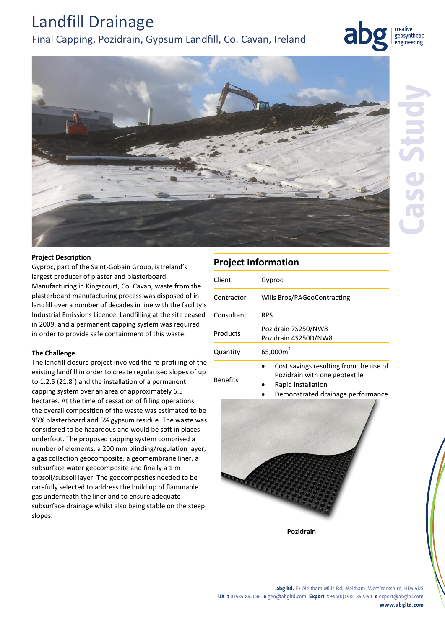# Landfill Drainage

# Final Capping, Pozidrain, Gypsum Landfill, Co. Cavan, Ireland



creative geosynthetic engineering



## **Project Description**

Gyproc, part of the Saint-Gobain Group, is Ireland's largest producer of plaster and plasterboard. Manufacturing in Kingscourt, Co. Cavan, waste from the plasterboard manufacturing process was disposed of in landfill over a number of decades in line with the facility's Industrial Emissions Licence. Landfilling at the site ceased in 2009, and a permanent capping system was required in order to provide safe containment of this waste.

## **The Challenge**

The landfill closure project involved the re-profiling of the existing landfill in order to create regularised slopes of up to 1:2.5 (21.8˚) and the installation of a permanent capping system over an area of approximately 6.5 hectares. At the time of cessation of filling operations, the overall composition of the waste was estimated to be 95% plasterboard and 5% gypsum residue. The waste was considered to be hazardous and would be soft in places underfoot. The proposed capping system comprised a number of elements: a 200 mm blinding/regulation layer, a gas collection geocomposite, a geomembrane liner, a subsurface water geocomposite and finally a 1 m topsoil/subsoil layer. The geocomposites needed to be carefully selected to address the build up of flammable gas underneath the liner and to ensure adequate subsurface drainage whilst also being stable on the steep slopes.

# **Project Information**

| Client          | Gyproc                                                                                                                             |
|-----------------|------------------------------------------------------------------------------------------------------------------------------------|
| Contractor      | Wills Bros/PAGeoContracting                                                                                                        |
| Consultant      | <b>RPS</b>                                                                                                                         |
| Products        | Pozidrain 7S250/NW8<br>Pozidrain 4S250D/NW8                                                                                        |
| Quantity        | 65,000m <sup>2</sup>                                                                                                               |
| <b>Benefits</b> | Cost savings resulting from the use of<br>Pozidrain with one geotextile<br>Rapid installation<br>Demonstrated drainage performance |



**Pozidrain**